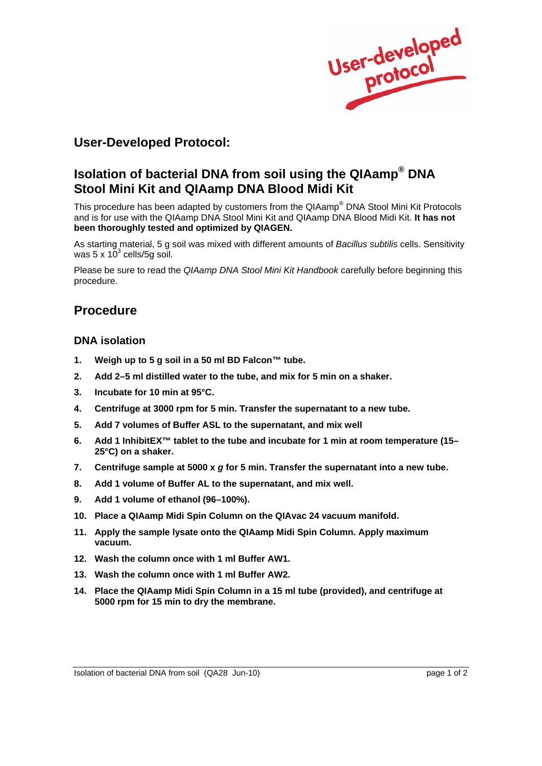User-developed

# **User-Developed Protocol:**

# **Isolation of bacterial DNA from soil using the QIAamp® DNA Stool Mini Kit and QIAamp DNA Blood Midi Kit**

This procedure has been adapted by customers from the QIAamp® DNA Stool Mini Kit Protocols and is for use with the QIAamp DNA Stool Mini Kit and QIAamp DNA Blood Midi Kit. **It has not been thoroughly tested and optimized by QIAGEN.** 

As starting material, 5 g soil was mixed with different amounts of *Bacillus subtilis* cells. Sensitivity was  $5 \times 10^3$  cells/5g soil.

Please be sure to read the *QIAamp DNA Stool Mini Kit Handbook* carefully before beginning this procedure.

## **Procedure**

### **DNA isolation**

- **1. Weigh up to 5 g soil in a 50 ml BD Falcon™ tube.**
- **2. Add 2–5 ml distilled water to the tube, and mix for 5 min on a shaker.**
- **3. Incubate for 10 min at 95°C.**
- **4. Centrifuge at 3000 rpm for 5 min. Transfer the supernatant to a new tube.**
- **5. Add 7 volumes of Buffer ASL to the supernatant, and mix well**
- **6. Add 1 InhibitEX™ tablet to the tube and incubate for 1 min at room temperature (15– 25°C) on a shaker.**
- **7. Centrifuge sample at 5000 x** *g* **for 5 min. Transfer the supernatant into a new tube.**
- **8. Add 1 volume of Buffer AL to the supernatant, and mix well.**
- **9. Add 1 volume of ethanol (96–100%).**
- **10. Place a QIAamp Midi Spin Column on the QIAvac 24 vacuum manifold.**
- **11. Apply the sample lysate onto the QIAamp Midi Spin Column. Apply maximum vacuum.**
- **12. Wash the column once with 1 ml Buffer AW1.**
- **13. Wash the column once with 1 ml Buffer AW2.**
- **14. Place the QIAamp Midi Spin Column in a 15 ml tube (provided), and centrifuge at 5000 rpm for 15 min to dry the membrane.**